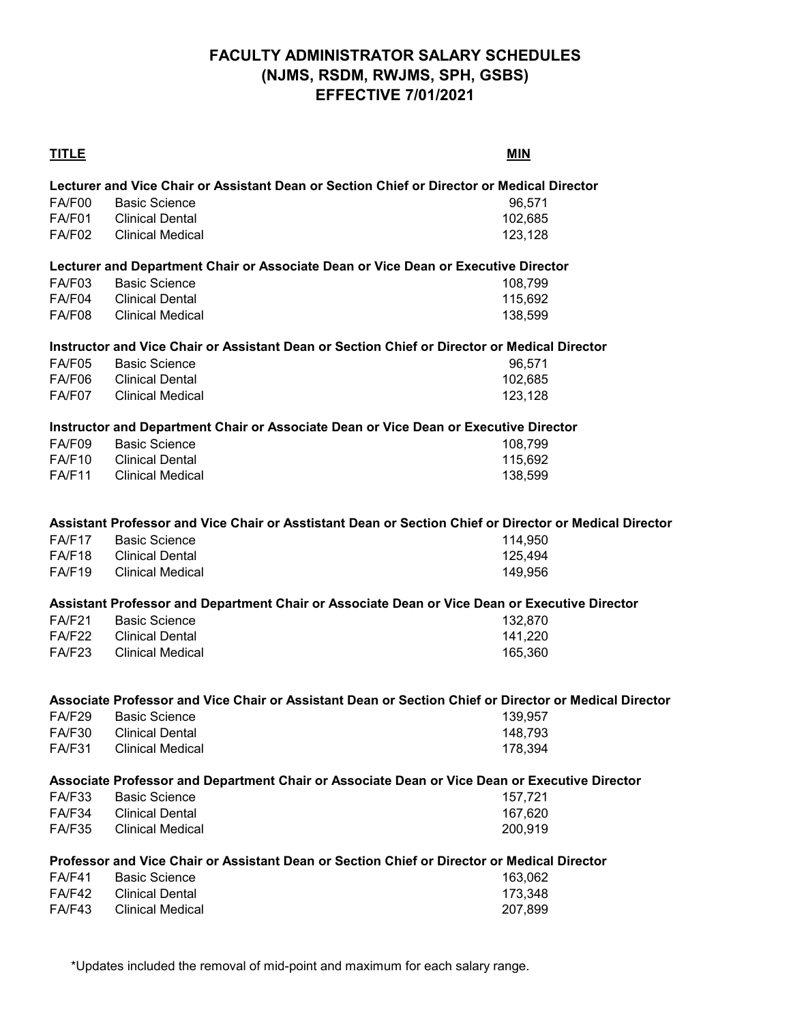# **FACULTY ADMINISTRATOR SALARY SCHEDULES (NJMS, RSDM, RWJMS, SPH, GSBS) EFFECTIVE 7/01/2021**

| <b>TITLE</b>  |                                                                                                        | <b>MIN</b> |
|---------------|--------------------------------------------------------------------------------------------------------|------------|
|               | Lecturer and Vice Chair or Assistant Dean or Section Chief or Director or Medical Director             |            |
| FA/F00        | <b>Basic Science</b>                                                                                   | 96,571     |
| FA/F01        | <b>Clinical Dental</b>                                                                                 | 102,685    |
| <b>FA/F02</b> | <b>Clinical Medical</b>                                                                                | 123,128    |
|               |                                                                                                        |            |
|               | Lecturer and Department Chair or Associate Dean or Vice Dean or Executive Director                     |            |
| FA/F03        | <b>Basic Science</b>                                                                                   | 108,799    |
| FA/F04        | <b>Clinical Dental</b>                                                                                 | 115,692    |
| <b>FA/F08</b> | <b>Clinical Medical</b>                                                                                | 138,599    |
|               | Instructor and Vice Chair or Assistant Dean or Section Chief or Director or Medical Director           |            |
| FA/F05        | <b>Basic Science</b>                                                                                   | 96,571     |
| FA/F06        | <b>Clinical Dental</b>                                                                                 | 102,685    |
| FA/F07        | <b>Clinical Medical</b>                                                                                | 123,128    |
|               |                                                                                                        |            |
|               | Instructor and Department Chair or Associate Dean or Vice Dean or Executive Director                   |            |
| FA/F09        | <b>Basic Science</b>                                                                                   | 108,799    |
| <b>FA/F10</b> | <b>Clinical Dental</b>                                                                                 | 115,692    |
| <b>FA/F11</b> | <b>Clinical Medical</b>                                                                                | 138,599    |
|               |                                                                                                        |            |
|               | Assistant Professor and Vice Chair or Asstistant Dean or Section Chief or Director or Medical Director |            |
| <b>FA/F17</b> | <b>Basic Science</b>                                                                                   | 114,950    |
| <b>FA/F18</b> | <b>Clinical Dental</b>                                                                                 | 125,494    |
| FA/F19        | <b>Clinical Medical</b>                                                                                | 149,956    |
|               | Assistant Professor and Department Chair or Associate Dean or Vice Dean or Executive Director          |            |
| <b>FA/F21</b> | <b>Basic Science</b>                                                                                   | 132,870    |
| <b>FA/F22</b> | <b>Clinical Dental</b>                                                                                 | 141,220    |
| <b>FA/F23</b> | <b>Clinical Medical</b>                                                                                | 165,360    |
|               |                                                                                                        |            |
|               | Associate Professor and Vice Chair or Assistant Dean or Section Chief or Director or Medical Director  |            |
| <b>FA/F29</b> | <b>Basic Science</b>                                                                                   | 139,957    |
| <b>FA/F30</b> | <b>Clinical Dental</b>                                                                                 | 148,793    |
| <b>FA/F31</b> | <b>Clinical Medical</b>                                                                                | 178,394    |
|               | Associate Professor and Department Chair or Associate Dean or Vice Dean or Executive Director          |            |
| FA/F33        | <b>Basic Science</b>                                                                                   | 157,721    |
| <b>FA/F34</b> | <b>Clinical Dental</b>                                                                                 | 167,620    |
| <b>FA/F35</b> | <b>Clinical Medical</b>                                                                                | 200,919    |
|               | Professor and Vice Chair or Assistant Dean or Section Chief or Director or Medical Director            |            |
| FA/F41        | <b>Basic Science</b>                                                                                   | 163,062    |
| <b>FA/F42</b> | <b>Clinical Dental</b>                                                                                 | 173,348    |
| <b>FA/F43</b> | <b>Clinical Medical</b>                                                                                | 207,899    |

\*Updates included the removal of mid-point and maximum for each salary range.